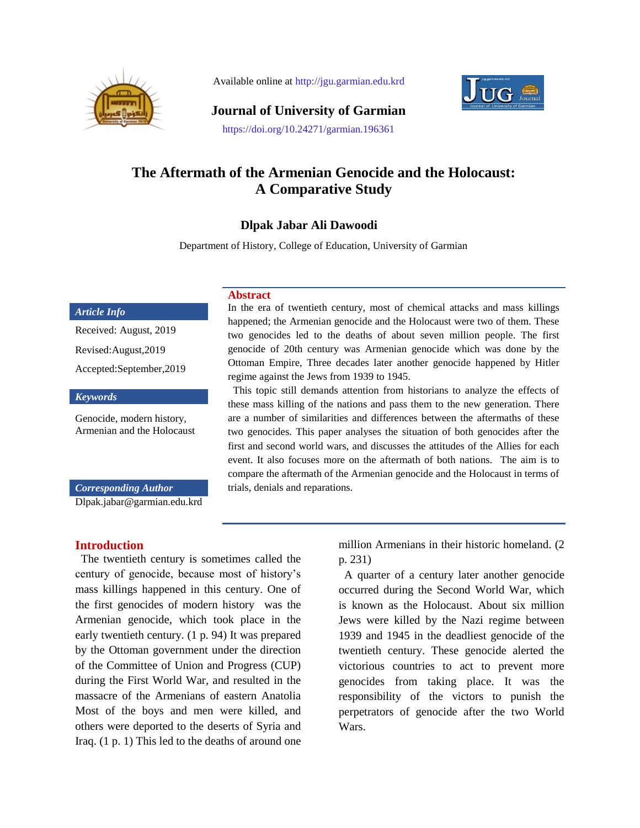

Available online at http://jgu.garmian.edu.krd



**Journal of University of Garmian**

#### https://doi.org/10.24271/garmian.196361

# **The Aftermath of the Armenian Genocide and the Holocaust: A Comparative Study**

## **Dlpak Jabar Ali Dawoodi**

Department of History, College of Education, University of Garmian

### *Article Info*

Received: August, 2019 Revised:August,2019 Accepted:September,2019

#### *Keywords*

Genocide, modern history, Armenian and the Holocaust

*Corresponding Author*

[Dlpak.jabar@garmian.edu.krd](mailto:ayad.palani@garmian.edu.krd)

### **Introduction**

 The twentieth century is sometimes called the century of genocide, because most of history"s mass killings happened in this century. One of the [first genocides of modern history](https://news.vice.com/article/turkey-is-pissed-at-the-pope-for-saying-a-wwi-massacre-of-armenians-was-genocide) was the Armenian genocide, which took place in the early twentieth century. (1 p. 94) It was prepared by the Ottoman government under the direction of the Committee of Union and Progress (CUP) during the First World War, and resulted in the massacre of the Armenians of eastern Anatolia Most of the boys and men were killed, and others were deported to the deserts of Syria and Iraq. (1 p. 1) This led to the deaths of around one

#### **Abstract**

In the era of twentieth century, most of chemical attacks and mass killings happened; the Armenian genocide and the Holocaust were two of them. These two genocides led to the deaths of about seven million people. The first genocide of 20th century was Armenian genocide which was done by the Ottoman Empire, Three decades later another genocide happened by Hitler regime against the Jews from 1939 to 1945.

 This topic still demands attention from historians to analyze the effects of these mass killing of the nations and pass them to the new generation. There are a number of similarities and differences between the aftermaths of these two genocides. This paper analyses the situation of both genocides after the first and second world wars, and discusses the attitudes of the Allies for each event. It also focuses more on the aftermath of both nations. The aim is to compare the aftermath of the Armenian genocide and the Holocaust in terms of trials, denials and reparations.

> million Armenians in their historic homeland. (2 p. 231)

 A quarter of a century later another genocide occurred during the Second World War, which is known as the Holocaust. About six million Jews were killed by the Nazi regime between 1939 and 1945 in the deadliest genocide of the twentieth century. These genocide alerted the victorious countries to act to prevent more genocides from taking place. It was the responsibility of the victors to punish the perpetrators of genocide after the two World Wars.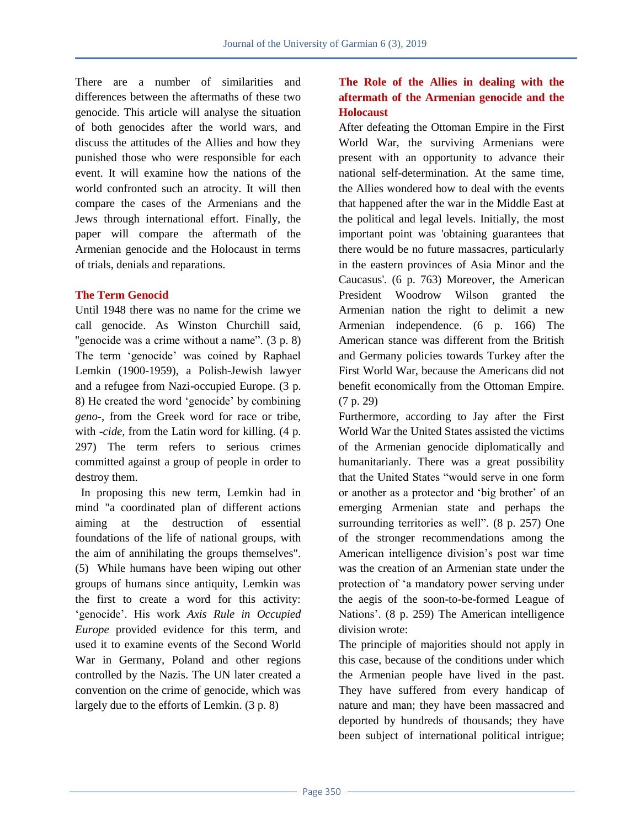There are a number of similarities and differences between the aftermaths of these two genocide. This article will analyse the situation of both genocides after the world wars, and discuss the attitudes of the Allies and how they punished those who were responsible for each event. It will examine how the nations of the world confronted such an atrocity. It will then compare the cases of the Armenians and the Jews through international effort. Finally, the paper will compare the aftermath of the Armenian genocide and the Holocaust in terms of trials, denials and reparations.

### **The Term Genocid**

Until 1948 there was no name for the crime we call genocide. As Winston Churchill said, "genocide was a crime without a name". (3 p. 8) The term "genocide" was coined by Raphael Lemkin (1900-1959), a Polish-Jewish lawyer and a refugee from Nazi-occupied Europe. (3 p. 8) He created the word "genocide" by combining *geno-*, from the Greek word for race or tribe, with *-cide*, from the Latin word for killing. (4 p. 297) The term refers to serious crimes committed against a group of people in order to destroy them.

 In proposing this new term, Lemkin had in mind "a coordinated plan of different actions aiming at the destruction of essential foundations of the life of national groups, with the aim of annihilating the groups themselves". (5) While humans have been wiping out other groups of humans since antiquity, Lemkin was the first to create a word for this activity: "genocide". His work *Axis Rule in Occupied Europe* provided evidence for this term, and used it to examine events of the Second World War in Germany, Poland and other regions controlled by the Nazis. The UN later created a convention on the crime of genocide, which was largely due to the efforts of Lemkin. (3 p. 8)

# **The Role of the Allies in dealing with the aftermath of the Armenian genocide and the Holocaust**

After defeating the Ottoman Empire in the First World War, the surviving Armenians were present with an opportunity to advance their national self-determination. At the same time, the Allies wondered how to deal with the events that happened after the war in the Middle East at the political and legal levels. Initially, the most important point was 'obtaining guarantees that there would be no future massacres, particularly in the eastern provinces of Asia Minor and the Caucasus'. (6 p. 763) Moreover, the American President Woodrow Wilson granted the Armenian nation the right to delimit a new Armenian independence. (6 p. 166) The American stance was different from the British and Germany policies towards Turkey after the First World War, because the Americans did not benefit economically from the Ottoman Empire. (7 p. 29)

Furthermore, according to Jay after the First World War the United States assisted the victims of the Armenian genocide diplomatically and humanitarianly. There was a great possibility that the United States "would serve in one form or another as a protector and "big brother" of an emerging Armenian state and perhaps the surrounding territories as well". (8 p. 257) One of the stronger recommendations among the American intelligence division"s post war time was the creation of an Armenian state under the protection of "a mandatory power serving under the aegis of the soon-to-be-formed League of Nations'. (8 p. 259) The American intelligence division wrote:

The principle of majorities should not apply in this case, because of the conditions under which the Armenian people have lived in the past. They have suffered from every handicap of nature and man; they have been massacred and deported by hundreds of thousands; they have been subject of international political intrigue;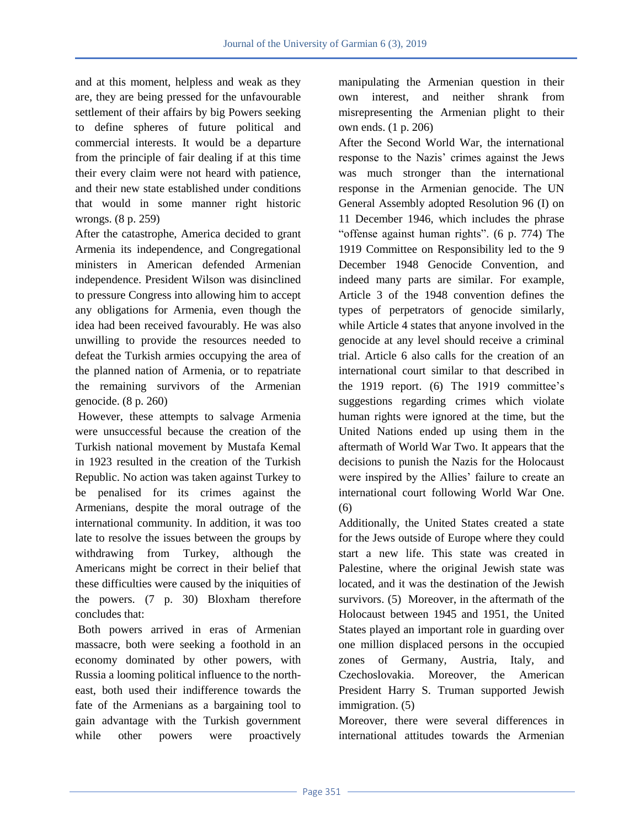and at this moment, helpless and weak as they are, they are being pressed for the unfavourable settlement of their affairs by big Powers seeking to define spheres of future political and commercial interests. It would be a departure from the principle of fair dealing if at this time their every claim were not heard with patience, and their new state established under conditions that would in some manner right historic wrongs. (8 p. 259)

After the catastrophe, America decided to grant Armenia its independence, and Congregational ministers in American defended Armenian independence. President Wilson was disinclined to pressure Congress into allowing him to accept any obligations for Armenia, even though the idea had been received favourably. He was also unwilling to provide the resources needed to defeat the Turkish armies occupying the area of the planned nation of Armenia, or to repatriate the remaining survivors of the Armenian genocide. (8 p. 260)

However, these attempts to salvage Armenia were unsuccessful because the creation of the Turkish national movement by Mustafa Kemal in 1923 resulted in the creation of the Turkish Republic. No action was taken against Turkey to be penalised for its crimes against the Armenians, despite the moral outrage of the international community. In addition, it was too late to resolve the issues between the groups by withdrawing from Turkey, although the Americans might be correct in their belief that these difficulties were caused by the iniquities of the powers. (7 p. 30) Bloxham therefore concludes that:

Both powers arrived in eras of Armenian massacre, both were seeking a foothold in an economy dominated by other powers, with Russia a looming political influence to the northeast, both used their indifference towards the fate of the Armenians as a bargaining tool to gain advantage with the Turkish government while other powers were proactively manipulating the Armenian question in their own interest, and neither shrank from misrepresenting the Armenian plight to their own ends. (1 p. 206)

After the Second World War, the international response to the Nazis' crimes against the Jews was much stronger than the international response in the Armenian genocide. The UN General Assembly adopted Resolution 96 (I) on 11 December 1946, which includes the phrase "offense against human rights". (6 p. 774) The 1919 Committee on Responsibility led to the 9 December 1948 Genocide Convention, and indeed many parts are similar. For example, Article 3 of the 1948 convention defines the types of perpetrators of genocide similarly, while Article 4 states that anyone involved in the genocide at any level should receive a criminal trial. Article 6 also calls for the creation of an international court similar to that described in the 1919 report. (6) The 1919 committee"s suggestions regarding crimes which violate human rights were ignored at the time, but the United Nations ended up using them in the aftermath of World War Two. It appears that the decisions to punish the Nazis for the Holocaust were inspired by the Allies' failure to create an international court following World War One. (6)

Additionally, the United States created a state for the Jews outside of Europe where they could start a new life. This state was created in Palestine, where the original Jewish state was located, and it was the destination of the Jewish survivors. (5) Moreover, in the aftermath of the Holocaust between 1945 and 1951, the United States played an important role in guarding over one million displaced persons in the occupied zones of Germany, Austria, Italy, and Czechoslovakia. Moreover, the American President Harry S. Truman supported Jewish immigration. (5)

Moreover, there were several differences in international attitudes towards the Armenian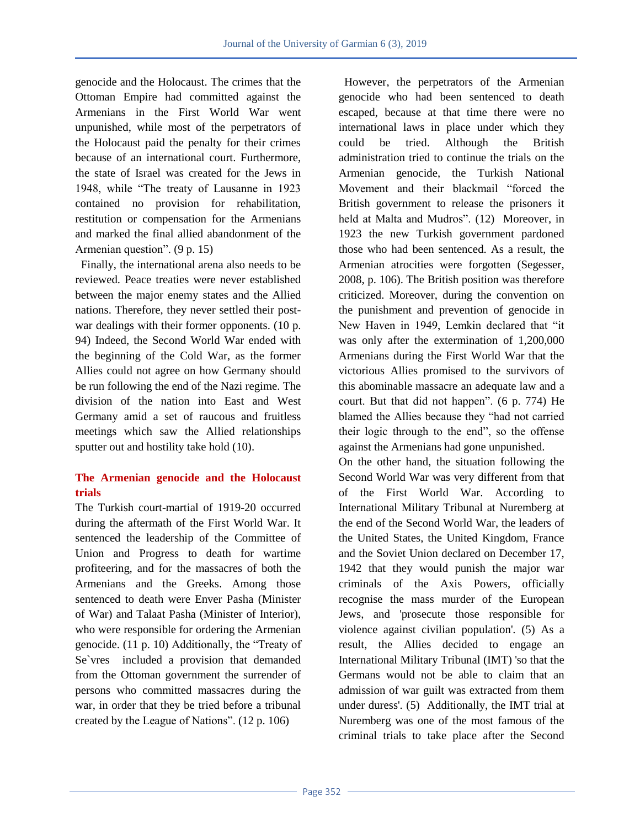genocide and the Holocaust. The crimes that the Ottoman Empire had committed against the Armenians in the First World War went unpunished, while most of the perpetrators of the Holocaust paid the penalty for their crimes because of an international court. Furthermore, the state of Israel was created for the Jews in 1948, while "The treaty of Lausanne in 1923 contained no provision for rehabilitation, restitution or compensation for the Armenians and marked the final allied abandonment of the Armenian question". (9 p. 15)

 Finally, the international arena also needs to be reviewed. Peace treaties were never established between the major enemy states and the Allied nations. Therefore, they never settled their postwar dealings with their former opponents. (10 p. 94) Indeed, the Second World War ended with the beginning of the Cold War, as the former Allies could not agree on how Germany should be run following the end of the Nazi regime. The division of the nation into East and West Germany amid a set of raucous and fruitless meetings which saw the Allied relationships sputter out and hostility take hold (10).

# **The Armenian genocide and the Holocaust trials**

The Turkish court-martial of 1919-20 occurred during the aftermath of the First World War. It sentenced the leadership of the Committee of Union and Progress to death for wartime profiteering, and for the massacres of both the Armenians and the Greeks. Among those sentenced to death were Enver Pasha (Minister of War) and Talaat Pasha (Minister of Interior), who were responsible for ordering the Armenian genocide. (11 p. 10) Additionally, the "Treaty of Se`vres included a provision that demanded from the Ottoman government the surrender of persons who committed massacres during the war, in order that they be tried before a tribunal created by the League of Nations". (12 p. 106)

 However, the perpetrators of the Armenian genocide who had been sentenced to death escaped, because at that time there were no international laws in place under which they could be tried. Although the British administration tried to continue the trials on the Armenian genocide, the Turkish National Movement and their blackmail "forced the British government to release the prisoners it held at Malta and Mudros". (12) Moreover, in 1923 the new Turkish government pardoned those who had been sentenced. As a result, the Armenian atrocities were forgotten (Segesser, 2008, p. 106). The British position was therefore criticized. Moreover, during the convention on the punishment and prevention of genocide in New Haven in 1949, Lemkin declared that "it was only after the extermination of 1,200,000 Armenians during the First World War that the victorious Allies promised to the survivors of this abominable massacre an adequate law and a court. But that did not happen". (6 p. 774) He blamed the Allies because they "had not carried their logic through to the end", so the offense against the Armenians had gone unpunished.

On the other hand, the situation following the Second World War was very different from that of the First World War. According to International Military Tribunal at Nuremberg at the end of the Second World War, the leaders of the United States, the United Kingdom, France and the Soviet Union declared on December 17, 1942 that they would punish the major war criminals of the Axis Powers, officially recognise the mass murder of the European Jews, and 'prosecute those responsible for violence against civilian population'. (5) As a result, the Allies decided to engage an International Military Tribunal (IMT) 'so that the Germans would not be able to claim that an admission of war guilt was extracted from them under duress'. (5) Additionally, the IMT trial at Nuremberg was one of the most famous of the criminal trials to take place after the Second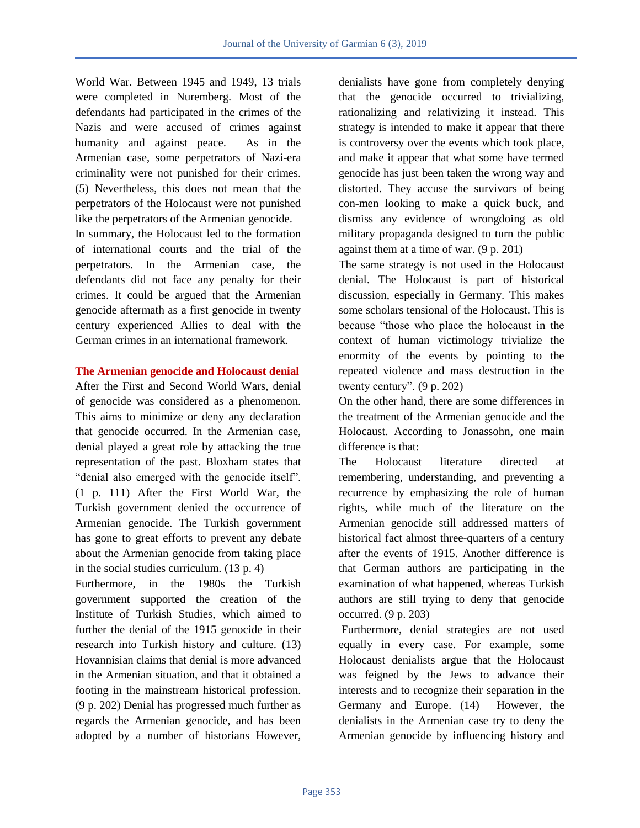World War. Between 1945 and 1949, 13 trials were completed in Nuremberg. Most of the defendants had participated in the crimes of the Nazis and were accused of crimes against humanity and against peace. As in the Armenian case, some perpetrators of Nazi-era criminality were not punished for their crimes. (5) Nevertheless, this does not mean that the perpetrators of the Holocaust were not punished like the perpetrators of the Armenian genocide.

In summary, the Holocaust led to the formation of international courts and the trial of the perpetrators. In the Armenian case, the defendants did not face any penalty for their crimes. It could be argued that the Armenian genocide aftermath as a first genocide in twenty century experienced Allies to deal with the German crimes in an international framework.

### **The Armenian genocide and Holocaust denial**

After the First and Second World Wars, denial of genocide was considered as a phenomenon. This aims to minimize or deny any declaration that genocide occurred. In the Armenian case, denial played a great role by attacking the true representation of the past. Bloxham states that "denial also emerged with the genocide itself". (1 p. 111) After the First World War, the Turkish government denied the occurrence of Armenian genocide. The Turkish government has gone to great efforts to prevent any debate about the Armenian genocide from taking place in the social studies curriculum. (13 p. 4)

Furthermore, in the 1980s the Turkish government supported the creation of the Institute of Turkish Studies, which aimed to further the denial of the 1915 genocide in their research into Turkish history and culture. (13) Hovannisian claims that denial is more advanced in the Armenian situation, and that it obtained a footing in the mainstream historical profession. (9 p. 202) Denial has progressed much further as regards the Armenian genocide, and has been adopted by a number of historians However,

denialists have gone from completely denying that the genocide occurred to trivializing, rationalizing and relativizing it instead. This strategy is intended to make it appear that there is controversy over the events which took place, and make it appear that what some have termed genocide has just been taken the wrong way and distorted. They accuse the survivors of being con-men looking to make a quick buck, and dismiss any evidence of wrongdoing as old military propaganda designed to turn the public against them at a time of war. (9 p. 201)

The same strategy is not used in the Holocaust denial. The Holocaust is part of historical discussion, especially in Germany. This makes some scholars tensional of the Holocaust. This is because "those who place the holocaust in the context of human victimology trivialize the enormity of the events by pointing to the repeated violence and mass destruction in the twenty century". (9 p. 202)

On the other hand, there are some differences in the treatment of the Armenian genocide and the Holocaust. According to Jonassohn, one main difference is that:

The Holocaust literature directed at remembering, understanding, and preventing a recurrence by emphasizing the role of human rights, while much of the literature on the Armenian genocide still addressed matters of historical fact almost three-quarters of a century after the events of 1915. Another difference is that German authors are participating in the examination of what happened, whereas Turkish authors are still trying to deny that genocide occurred. (9 p. 203)

Furthermore, denial strategies are not used equally in every case. For example, some Holocaust denialists argue that the Holocaust was feigned by the Jews to advance their interests and to recognize their separation in the Germany and Europe. (14) However, the denialists in the Armenian case try to deny the Armenian genocide by influencing history and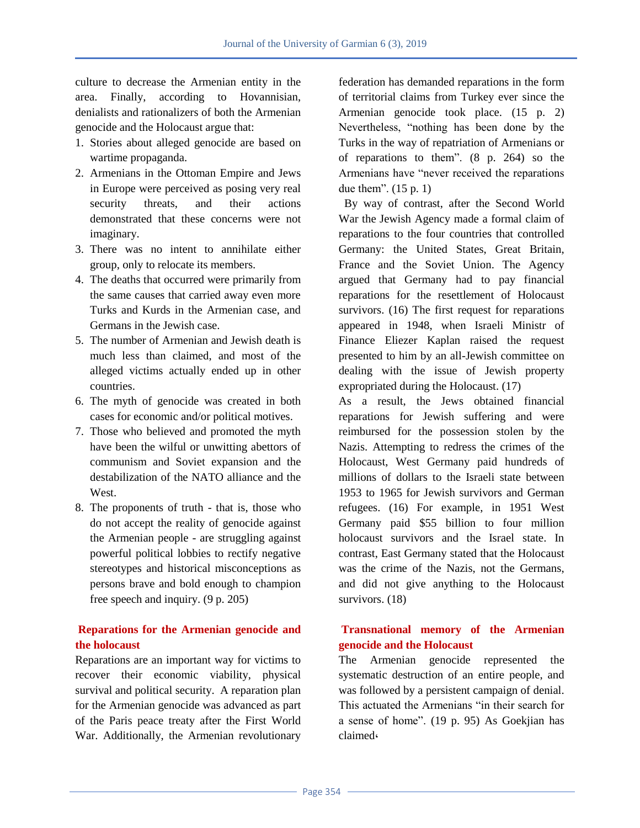culture to decrease the Armenian entity in the area. Finally, according to Hovannisian, denialists and rationalizers of both the Armenian genocide and the Holocaust argue that:

- 1. Stories about alleged genocide are based on wartime propaganda.
- 2. Armenians in the Ottoman Empire and Jews in Europe were perceived as posing very real security threats, and their actions demonstrated that these concerns were not imaginary.
- 3. There was no intent to annihilate either group, only to relocate its members.
- 4. The deaths that occurred were primarily from the same causes that carried away even more Turks and Kurds in the Armenian case, and Germans in the Jewish case.
- 5. The number of Armenian and Jewish death is much less than claimed, and most of the alleged victims actually ended up in other countries.
- 6. The myth of genocide was created in both cases for economic and/or political motives.
- 7. Those who believed and promoted the myth have been the wilful or unwitting abettors of communism and Soviet expansion and the destabilization of the NATO alliance and the **West**
- 8. The proponents of truth that is, those who do not accept the reality of genocide against the Armenian people - are struggling against powerful political lobbies to rectify negative stereotypes and historical misconceptions as persons brave and bold enough to champion free speech and inquiry. (9 p. 205)

# **Reparations for the Armenian genocide and the holocaust**

Reparations are an important way for victims to recover their economic viability, physical survival and political security. A reparation plan for the Armenian genocide was advanced as part of the Paris peace treaty after the First World War. Additionally, the Armenian revolutionary federation has demanded reparations in the form of territorial claims from Turkey ever since the Armenian genocide took place. (15 p. 2) Nevertheless, "nothing has been done by the Turks in the way of repatriation of Armenians or of reparations to them". (8 p. 264) so the Armenians have "never received the reparations due them". (15 p. 1)

 By way of contrast, after the Second World War the Jewish Agency made a formal claim of reparations to the four countries that controlled Germany: the United States, Great Britain, France and the Soviet Union. The Agency argued that Germany had to pay financial reparations for the resettlement of Holocaust survivors. (16) The first request for reparations appeared in 1948, when Israeli Ministr of Finance Eliezer Kaplan raised the request presented to him by an all-Jewish committee on dealing with the issue of Jewish property expropriated during the Holocaust. (17)

As a result, the Jews obtained financial reparations for Jewish suffering and were reimbursed for the possession stolen by the Nazis. Attempting to redress the crimes of the Holocaust, West Germany paid hundreds of millions of dollars to the Israeli state between 1953 to 1965 for Jewish survivors and German refugees. (16) For example, in 1951 West Germany paid \$55 billion to four million holocaust survivors and the Israel state. In contrast, East Germany stated that the Holocaust was the crime of the Nazis, not the Germans, and did not give anything to the Holocaust survivors. (18)

# **Transnational memory of the Armenian genocide and the Holocaust**

The Armenian genocide represented the systematic destruction of an entire people, and was followed by a persistent campaign of denial. This actuated the Armenians "in their search for a sense of home". (19 p. 95) As Goekjian has claimed,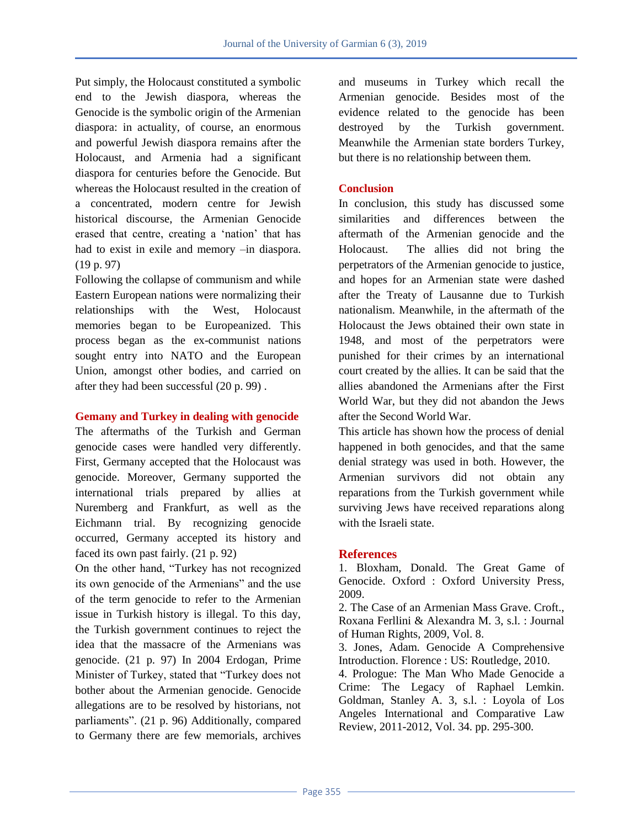Put simply, the Holocaust constituted a symbolic end to the Jewish diaspora, whereas the Genocide is the symbolic origin of the Armenian diaspora: in actuality, of course, an enormous and powerful Jewish diaspora remains after the Holocaust, and Armenia had a significant diaspora for centuries before the Genocide. But whereas the Holocaust resulted in the creation of a concentrated, modern centre for Jewish historical discourse, the Armenian Genocide erased that centre, creating a "nation" that has had to exist in exile and memory –in diaspora. (19 p. 97)

Following the collapse of communism and while Eastern European nations were normalizing their relationships with the West, Holocaust memories began to be Europeanized. This process began as the ex-communist nations sought entry into NATO and the European Union, amongst other bodies, and carried on after they had been successful (20 p. 99) .

### **Gemany and Turkey in dealing with genocide**

The aftermaths of the Turkish and German genocide cases were handled very differently. First, Germany accepted that the Holocaust was genocide. Moreover, Germany supported the international trials prepared by allies at Nuremberg and Frankfurt, as well as the Eichmann trial. By recognizing genocide occurred, Germany accepted its history and faced its own past fairly. (21 p. 92)

On the other hand, "Turkey has not recognized its own genocide of the Armenians" and the use of the term genocide to refer to the Armenian issue in Turkish history is illegal. To this day, the Turkish government continues to reject the idea that the massacre of the Armenians was genocide. (21 p. 97) In 2004 Erdogan, Prime Minister of Turkey, stated that "Turkey does not bother about the Armenian genocide. Genocide allegations are to be resolved by historians, not parliaments". (21 p. 96) Additionally, compared to Germany there are few memorials, archives

and museums in Turkey which recall the Armenian genocide. Besides most of the evidence related to the genocide has been destroyed by the Turkish government. Meanwhile the Armenian state borders Turkey, but there is no relationship between them.

### **Conclusion**

In conclusion, this study has discussed some similarities and differences between the aftermath of the Armenian genocide and the Holocaust. The allies did not bring the perpetrators of the Armenian genocide to justice, and hopes for an Armenian state were dashed after the Treaty of Lausanne due to Turkish nationalism. Meanwhile, in the aftermath of the Holocaust the Jews obtained their own state in 1948, and most of the perpetrators were punished for their crimes by an international court created by the allies. It can be said that the allies abandoned the Armenians after the First World War, but they did not abandon the Jews after the Second World War.

This article has shown how the process of denial happened in both genocides, and that the same denial strategy was used in both. However, the Armenian survivors did not obtain any reparations from the Turkish government while surviving Jews have received reparations along with the Israeli state.

## **References**

1. Bloxham, Donald. The Great Game of Genocide. Oxford : Oxford University Press, 2009.

2. The Case of an Armenian Mass Grave. Croft., Roxana Ferllini & Alexandra M. 3, s.l. : Journal of Human Rights, 2009, Vol. 8.

3. Jones, Adam. Genocide A Comprehensive Introduction. Florence : US: Routledge, 2010.

4. Prologue: The Man Who Made Genocide a Crime: The Legacy of Raphael Lemkin. Goldman, Stanley A. 3, s.l. : Loyola of Los Angeles International and Comparative Law Review, 2011-2012, Vol. 34. pp. 295-300.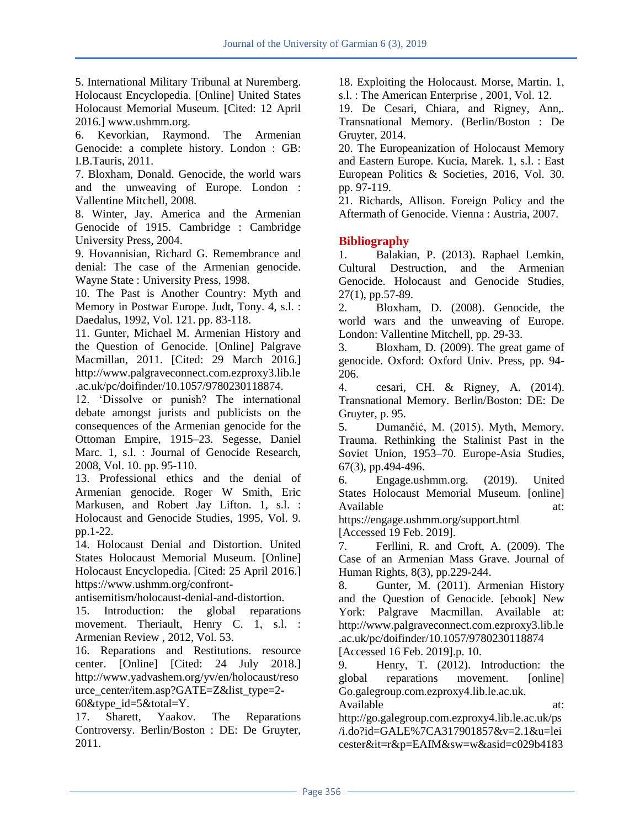5. International Military Tribunal at Nuremberg. Holocaust Encyclopedia. [Online] United States Holocaust Memorial Museum. [Cited: 12 April 2016.] www.ushmm.org.

6. Kevorkian, Raymond. The Armenian Genocide: a complete history. London : GB: I.B.Tauris, 2011.

7. Bloxham, Donald. Genocide, the world wars and the unweaving of Europe. London : Vallentine Mitchell, 2008.

8. Winter, Jay. America and the Armenian Genocide of 1915. Cambridge : Cambridge University Press, 2004.

9. Hovannisian, Richard G. Remembrance and denial: The case of the Armenian genocide. Wayne State : University Press, 1998.

10. The Past is Another Country: Myth and Memory in Postwar Europe. Judt, Tony. 4, s.l. : Daedalus, 1992, Vol. 121. pp. 83-118.

11. Gunter, Michael M. Armenian History and the Question of Genocide. [Online] Palgrave Macmillan, 2011. [Cited: 29 March 2016.] http://www.palgraveconnect.com.ezproxy3.lib.le .ac.uk/pc/doifinder/10.1057/9780230118874.

12. "Dissolve or punish? The international debate amongst jurists and publicists on the consequences of the Armenian genocide for the Ottoman Empire, 1915–23. Segesse, Daniel Marc. 1, s.l. : Journal of Genocide Research, 2008, Vol. 10. pp. 95-110.

13. Professional ethics and the denial of Armenian genocide. Roger W Smith, Eric Markusen, and Robert Jay Lifton. 1, s.l. : Holocaust and Genocide Studies, 1995, Vol. 9. pp.1-22.

14. Holocaust Denial and Distortion. United States Holocaust Memorial Museum. [Online] Holocaust Encyclopedia. [Cited: 25 April 2016.] https://www.ushmm.org/confront-

antisemitism/holocaust-denial-and-distortion.

15. Introduction: the global reparations movement. Theriault, Henry C. 1, s.l. : Armenian Review , 2012, Vol. 53.

16. Reparations and Restitutions. resource center. [Online] [Cited: 24 July 2018.] http://www.yadvashem.org/yv/en/holocaust/reso urce\_center/item.asp?GATE=Z&list\_type=2- 60 $&$ type id=5 $&$ total=Y.

17. Sharett, Yaakov. The Reparations Controversy. Berlin/Boston : DE: De Gruyter, 2011.

18. Exploiting the Holocaust. Morse, Martin. 1,

s.l. : The American Enterprise , 2001, Vol. 12.

19. De Cesari, Chiara, and Rigney, Ann,. Transnational Memory. (Berlin/Boston : De Gruyter, 2014.

20. The Europeanization of Holocaust Memory and Eastern Europe. Kucia, Marek. 1, s.l. : East European Politics & Societies, 2016, Vol. 30. pp. 97-119.

21. Richards, Allison. Foreign Policy and the Aftermath of Genocide. Vienna : Austria, 2007.

## **Bibliography**

1. Balakian, P. (2013). Raphael Lemkin, Cultural Destruction, and the Armenian Genocide. Holocaust and Genocide Studies, 27(1), pp.57-89.

2. Bloxham, D. (2008). Genocide, the world wars and the unweaving of Europe. London: Vallentine Mitchell, pp. 29-33.

3. Bloxham, D. (2009). The great game of genocide. Oxford: Oxford Univ. Press, pp. 94- 206.

4. cesari, CH. & Rigney, A. (2014). Transnational Memory. Berlin/Boston: DE: De Gruyter, p. 95.

5. Dumančić, M. (2015). Myth, Memory, Trauma. Rethinking the Stalinist Past in the Soviet Union, 1953–70. Europe-Asia Studies, 67(3), pp.494-496.

6. Engage.ushmm.org. (2019). United States Holocaust Memorial Museum. [online] Available at: at:

https://engage.ushmm.org/support.html

[Accessed 19 Feb. 2019].

7. Ferllini, R. and Croft, A. (2009). The Case of an Armenian Mass Grave. Journal of Human Rights, 8(3), pp.229-244.

8. Gunter, M. (2011). Armenian History and the Question of Genocide. [ebook] New York: Palgrave Macmillan. Available at: http://www.palgraveconnect.com.ezproxy3.lib.le .ac.uk/pc/doifinder/10.1057/9780230118874 [Accessed 16 Feb. 2019].p. 10.

9. Henry, T. (2012). Introduction: the global reparations movement. [online] Go.galegroup.com.ezproxy4.lib.le.ac.uk.

Available at: http://go.galegroup.com.ezproxy4.lib.le.ac.uk/ps /i.do?id=GALE%7CA317901857&v=2.1&u=lei cester&it=r&p=EAIM&sw=w&asid=c029b4183